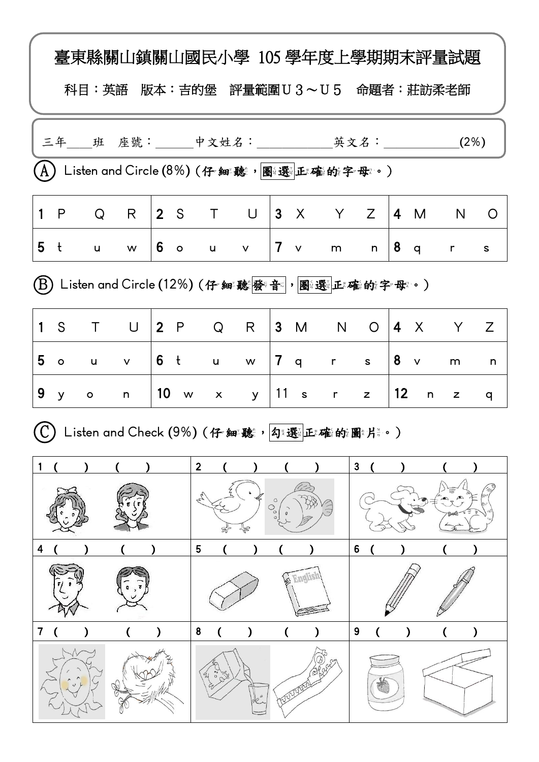|   |                |              |              |          | 臺東縣關山鎮關山國民小學 105 學年度上學期期末評量試題<br>科目:英語 版本:吉的堡 評量範圍U3~U5 命題者:莊訪柔老師                    |              |              |                |          |                             |      |                |              |
|---|----------------|--------------|--------------|----------|--------------------------------------------------------------------------------------|--------------|--------------|----------------|----------|-----------------------------|------|----------------|--------------|
|   |                |              |              |          |                                                                                      |              |              |                |          |                             |      |                |              |
|   |                |              |              |          | $\left(\mathrm{A}\right)$ Listen and Circle (8%) (仔 細聽,圖選上輝的字母。)                     |              |              |                |          |                             |      |                |              |
|   | 1 P            | Q            | R            |          | 2 S T U                                                                              |              |              |                |          | $ 3 \times Y \times Z $ 4 M |      | <b>N</b>       | O            |
|   | 5 <sub>t</sub> | u            | W            | $6\circ$ | $\mathsf{u}$                                                                         | $\mathsf{V}$ |              | $ 7 \rangle$ v | m        |                             |      | $n \mid 8$ q r | $\mathsf{s}$ |
|   |                |              |              |          | $\left(\hspace{-15pt}\mathrm{B}\right)$ Listen and Circle (12%) (仔細聽發音 ),圖選 正確的字母 。) |              |              |                |          |                             |      |                |              |
|   | 1 <sup>°</sup> |              | T U          |          | $\begin{array}{ccc} \vert 2 & \mathsf{P} & \mathsf{Q} \end{array}$                   | R            |              |                |          | 3 M N O 4 X Y               |      |                | Z            |
|   | 5 o            | $\mathsf{u}$ |              |          | v   6 tuw   7 qrs   8 v                                                              |              |              |                |          |                             |      | ${\sf m}$      | n            |
|   | 9y             | $\circ$      | $\mathsf{n}$ | 10 w     |                                                                                      | $x \quad y$  |              |                | 11 s r z |                             | 12 n | z              | q            |
|   |                |              |              |          | Listen and Check (9%) (仔^細聽,勾*選位確的圖*片*。)                                             |              |              |                |          |                             |      |                |              |
|   |                |              |              |          | 2                                                                                    |              |              |                |          | 3                           |      |                |              |
|   |                |              |              |          |                                                                                      |              | C<br>$\circ$ |                |          |                             |      |                |              |
| 4 |                |              |              |          | 5                                                                                    |              |              |                |          | 6                           |      |                |              |
|   |                |              |              |          |                                                                                      |              |              |                |          |                             |      |                |              |
|   |                |              |              |          | 8                                                                                    |              |              |                |          | 9                           |      |                |              |
|   |                |              |              |          |                                                                                      |              |              |                |          |                             |      |                |              |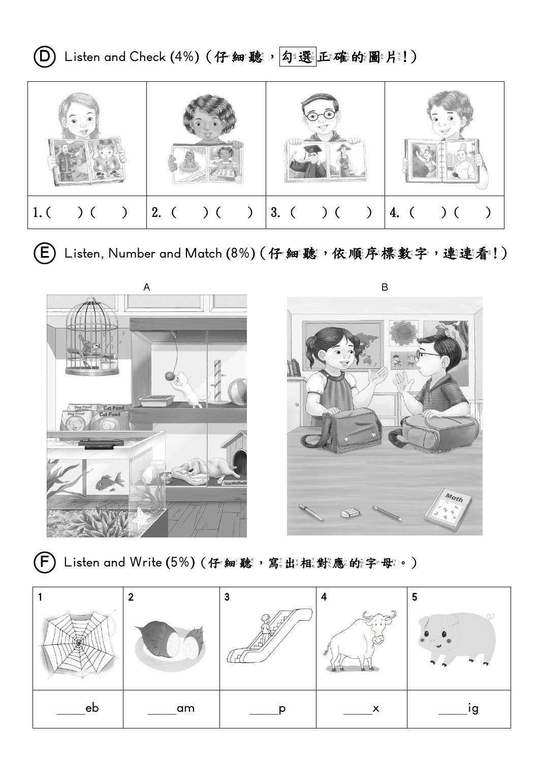**①** Listen and Check (4%) (仔細聽, 勾選正確的圖片!)



**(E)** Listen, Number and Match (8%) (仔細聽,依順序標數字,連連看!)



**(F)**Listen and Write (5%) (仔細聽,寫乱權器應的字母:•)

|    | ົ  | 3 | Δ                                                        | 5  |
|----|----|---|----------------------------------------------------------|----|
|    |    |   | $\widetilde{\mathfrak{X}}$<br>I<br>ᇒ<br>m<br>ш<br>$\sim$ |    |
| eb | am |   | х                                                        | ıg |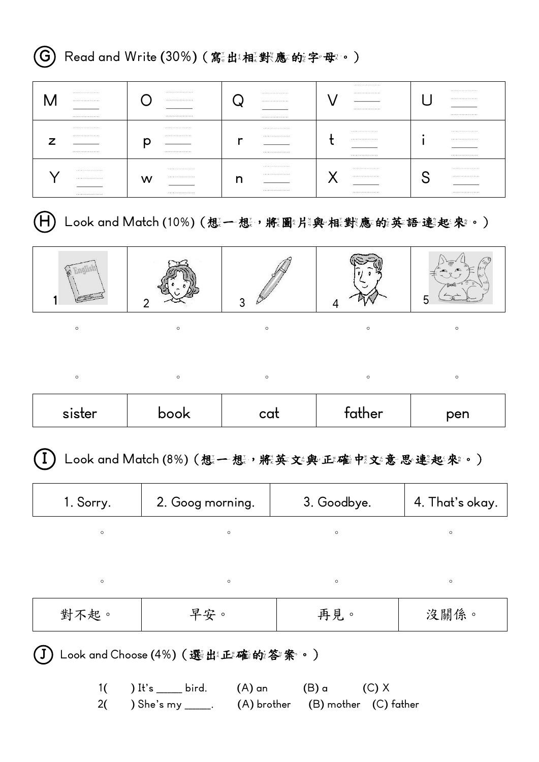|                                                                                                      | Read and Write (30%) (寫出梅機樂應的第字母。)                                    |         |                                                                                                           |                                                                                       |                                                                    |
|------------------------------------------------------------------------------------------------------|-----------------------------------------------------------------------|---------|-----------------------------------------------------------------------------------------------------------|---------------------------------------------------------------------------------------|--------------------------------------------------------------------|
| <b><i><u>ANKARAALAISEEREE</u></i></b><br>M<br>.<br>*****************                                 | *****************<br>.<br><b><i>ATABAKAYAYAYAYAYAY</i></b>            |         | <b><i><u>ANARAALAISEKKARA</u></i></b><br><b><i><i><u>AAAAAAAAAAAAAAA</u></i></i></b><br>***************** | *****************<br><b><i><i><u>AAAAAAAAAAAAAAA</u></i></i></b><br>***************** | <b><i><u>ANARELINERERRE</u></i></b><br>.                           |
| *****************<br><br>Ζ<br>*****************                                                      | *****************<br>.<br>p<br>*****************                      | r       | <b></b><br><b></b><br>*****************                                                                   | .<br><b><i><u>AAAAAAAAAAAAAAA</u></i></b><br>*****************                        | *****************<br><b></b><br>.                                  |
| <b><i><u>ANXARAAAAAAAAAAA</u>AA</i></b><br><b><i><u>AAAAAAAAAAAAAAA</u></i></b><br>***************** | <b><i><u>ANXARAALALALALALA</u></i></b><br>.<br>w<br>***************** | n       | <b><i><u>ANARAARAARAARA</u></i></b><br><b></b><br>*****************                                       | *****************<br>X<br><br>${\bf 1.7.7.7.7.7.7.7.7.7.7.7.7.7}.$                    | *****************<br>S<br><br>${\bf 1.7.7.7.7.7.7.7.7.7.7.7.7.7}.$ |
|                                                                                                      | Look and Match (10%) (想一想, 糯圖料澳 框對應的漢語連殺率。)                           |         |                                                                                                           |                                                                                       |                                                                    |
|                                                                                                      | 2                                                                     | 3       |                                                                                                           | 4                                                                                     | 5                                                                  |
| $\circ$                                                                                              | $\circ$                                                               | $\circ$ |                                                                                                           | $\circ$                                                                               | $\circ$                                                            |
| $\circ$                                                                                              | $\circ$                                                               | $\circ$ |                                                                                                           | $\circ$                                                                               | $\circ$                                                            |
|                                                                                                      |                                                                       |         |                                                                                                           |                                                                                       |                                                                    |
| sister                                                                                               | book                                                                  | cat     |                                                                                                           | father                                                                                | pen                                                                |
|                                                                                                      | Look and Match (8%) (想一想, 將英文準正確中交意思連進來。)                             |         |                                                                                                           |                                                                                       |                                                                    |
| 1. Sorry.                                                                                            | 2. Goog morning.                                                      |         |                                                                                                           | 3. Goodbye.                                                                           | 4. That's okay.                                                    |
| $\circ$                                                                                              |                                                                       | $\circ$ |                                                                                                           | $\circ$                                                                               | $\circ$                                                            |
| $\circ$                                                                                              |                                                                       | $\circ$ |                                                                                                           | $\circ$                                                                               | $\circ$                                                            |
| 對不起。                                                                                                 | 早安。                                                                   |         |                                                                                                           | 再見。                                                                                   | 沒關係。                                                               |
|                                                                                                      | Look and Choose (4%) ( 選出 正確的答案。)                                     |         |                                                                                                           |                                                                                       |                                                                    |